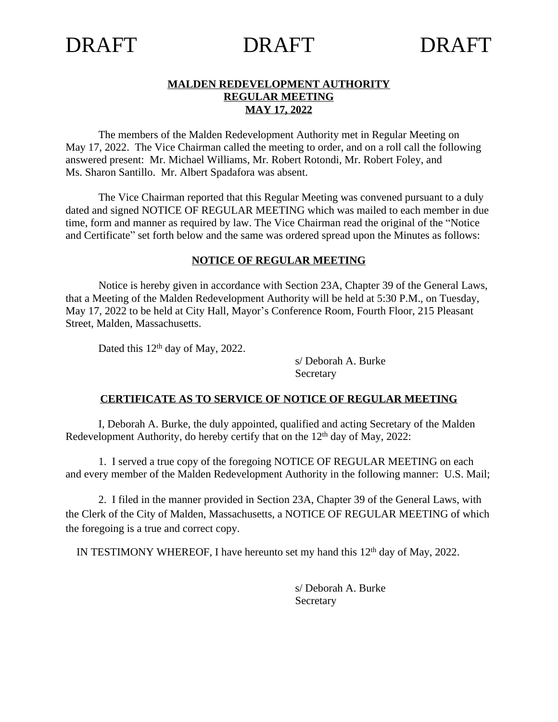#### **MALDEN REDEVELOPMENT AUTHORITY REGULAR MEETING MAY 17, 2022**

The members of the Malden Redevelopment Authority met in Regular Meeting on May 17, 2022. The Vice Chairman called the meeting to order, and on a roll call the following answered present: Mr. Michael Williams, Mr. Robert Rotondi, Mr. Robert Foley, and Ms. Sharon Santillo. Mr. Albert Spadafora was absent.

The Vice Chairman reported that this Regular Meeting was convened pursuant to a duly dated and signed NOTICE OF REGULAR MEETING which was mailed to each member in due time, form and manner as required by law. The Vice Chairman read the original of the "Notice and Certificate" set forth below and the same was ordered spread upon the Minutes as follows:

#### **NOTICE OF REGULAR MEETING**

Notice is hereby given in accordance with Section 23A, Chapter 39 of the General Laws, that a Meeting of the Malden Redevelopment Authority will be held at 5:30 P.M., on Tuesday, May 17, 2022 to be held at City Hall, Mayor's Conference Room, Fourth Floor, 215 Pleasant Street, Malden, Massachusetts.

Dated this 12<sup>th</sup> day of May, 2022.

s/ Deborah A. Burke Secretary

#### **CERTIFICATE AS TO SERVICE OF NOTICE OF REGULAR MEETING**

I, Deborah A. Burke, the duly appointed, qualified and acting Secretary of the Malden Redevelopment Authority, do hereby certify that on the  $12<sup>th</sup>$  day of May, 2022:

1. I served a true copy of the foregoing NOTICE OF REGULAR MEETING on each and every member of the Malden Redevelopment Authority in the following manner: U.S. Mail;

2. I filed in the manner provided in Section 23A, Chapter 39 of the General Laws, with the Clerk of the City of Malden, Massachusetts, a NOTICE OF REGULAR MEETING of which the foregoing is a true and correct copy.

IN TESTIMONY WHEREOF, I have hereunto set my hand this 12<sup>th</sup> day of May, 2022.

s/ Deborah A. Burke Secretary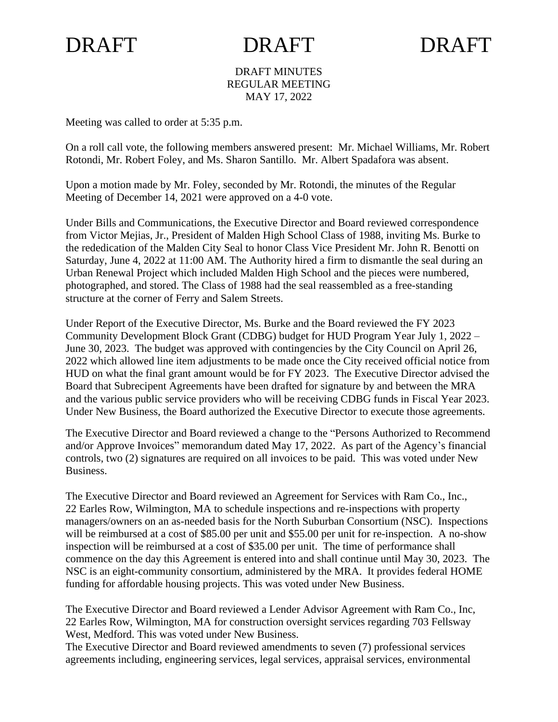#### DRAFT MINUTES REGULAR MEETING MAY 17, 2022

Meeting was called to order at 5:35 p.m.

On a roll call vote, the following members answered present: Mr. Michael Williams, Mr. Robert Rotondi, Mr. Robert Foley, and Ms. Sharon Santillo. Mr. Albert Spadafora was absent.

Upon a motion made by Mr. Foley, seconded by Mr. Rotondi, the minutes of the Regular Meeting of December 14, 2021 were approved on a 4-0 vote.

Under Bills and Communications, the Executive Director and Board reviewed correspondence from Victor Mejias, Jr., President of Malden High School Class of 1988, inviting Ms. Burke to the rededication of the Malden City Seal to honor Class Vice President Mr. John R. Benotti on Saturday, June 4, 2022 at 11:00 AM. The Authority hired a firm to dismantle the seal during an Urban Renewal Project which included Malden High School and the pieces were numbered, photographed, and stored. The Class of 1988 had the seal reassembled as a free-standing structure at the corner of Ferry and Salem Streets.

Under Report of the Executive Director, Ms. Burke and the Board reviewed the FY 2023 Community Development Block Grant (CDBG) budget for HUD Program Year July 1, 2022 – June 30, 2023. The budget was approved with contingencies by the City Council on April 26, 2022 which allowed line item adjustments to be made once the City received official notice from HUD on what the final grant amount would be for FY 2023. The Executive Director advised the Board that Subrecipent Agreements have been drafted for signature by and between the MRA and the various public service providers who will be receiving CDBG funds in Fiscal Year 2023. Under New Business, the Board authorized the Executive Director to execute those agreements.

The Executive Director and Board reviewed a change to the "Persons Authorized to Recommend and/or Approve Invoices" memorandum dated May 17, 2022. As part of the Agency's financial controls, two (2) signatures are required on all invoices to be paid. This was voted under New Business.

The Executive Director and Board reviewed an Agreement for Services with Ram Co., Inc., 22 Earles Row, Wilmington, MA to schedule inspections and re-inspections with property managers/owners on an as-needed basis for the North Suburban Consortium (NSC). Inspections will be reimbursed at a cost of \$85.00 per unit and \$55.00 per unit for re-inspection. A no-show inspection will be reimbursed at a cost of \$35.00 per unit. The time of performance shall commence on the day this Agreement is entered into and shall continue until May 30, 2023. The NSC is an eight-community consortium, administered by the MRA. It provides federal HOME funding for affordable housing projects. This was voted under New Business.

The Executive Director and Board reviewed a Lender Advisor Agreement with Ram Co., Inc, 22 Earles Row, Wilmington, MA for construction oversight services regarding 703 Fellsway West, Medford. This was voted under New Business.

The Executive Director and Board reviewed amendments to seven (7) professional services agreements including, engineering services, legal services, appraisal services, environmental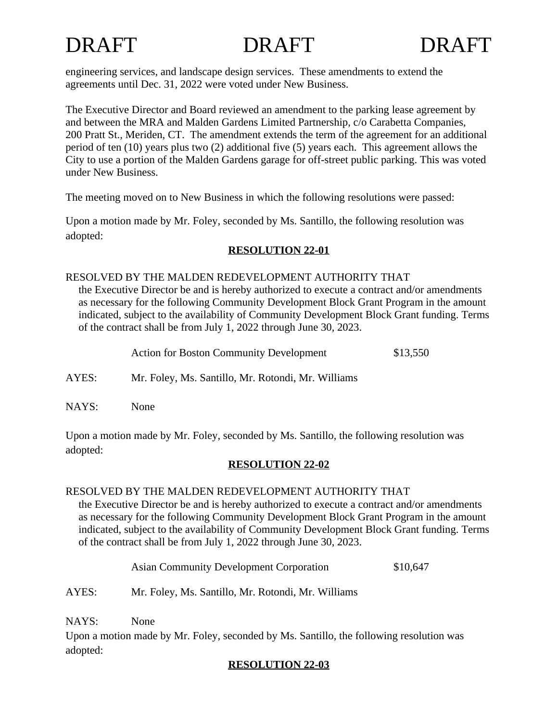

engineering services, and landscape design services. These amendments to extend the agreements until Dec. 31, 2022 were voted under New Business.

The Executive Director and Board reviewed an amendment to the parking lease agreement by and between the MRA and Malden Gardens Limited Partnership, c/o Carabetta Companies, 200 Pratt St., Meriden, CT. The amendment extends the term of the agreement for an additional period of ten (10) years plus two (2) additional five (5) years each. This agreement allows the City to use a portion of the Malden Gardens garage for off-street public parking. This was voted under New Business.

The meeting moved on to New Business in which the following resolutions were passed:

Upon a motion made by Mr. Foley, seconded by Ms. Santillo, the following resolution was adopted:

# **RESOLUTION 22-01**

#### RESOLVED BY THE MALDEN REDEVELOPMENT AUTHORITY THAT

the Executive Director be and is hereby authorized to execute a contract and/or amendments as necessary for the following Community Development Block Grant Program in the amount indicated, subject to the availability of Community Development Block Grant funding. Terms of the contract shall be from July 1, 2022 through June 30, 2023.

| <b>Action for Boston Community Development</b> | \$13,550 |
|------------------------------------------------|----------|
|------------------------------------------------|----------|

AYES: Mr. Foley, Ms. Santillo, Mr. Rotondi, Mr. Williams

NAYS: None

Upon a motion made by Mr. Foley, seconded by Ms. Santillo, the following resolution was adopted:

# **RESOLUTION 22-02**

# RESOLVED BY THE MALDEN REDEVELOPMENT AUTHORITY THAT

the Executive Director be and is hereby authorized to execute a contract and/or amendments as necessary for the following Community Development Block Grant Program in the amount indicated, subject to the availability of Community Development Block Grant funding. Terms of the contract shall be from July 1, 2022 through June 30, 2023.

Asian Community Development Corporation  $$10,647$ 

AYES: Mr. Foley, Ms. Santillo, Mr. Rotondi, Mr. Williams

NAYS: None

Upon a motion made by Mr. Foley, seconded by Ms. Santillo, the following resolution was adopted:

# **RESOLUTION 22-03**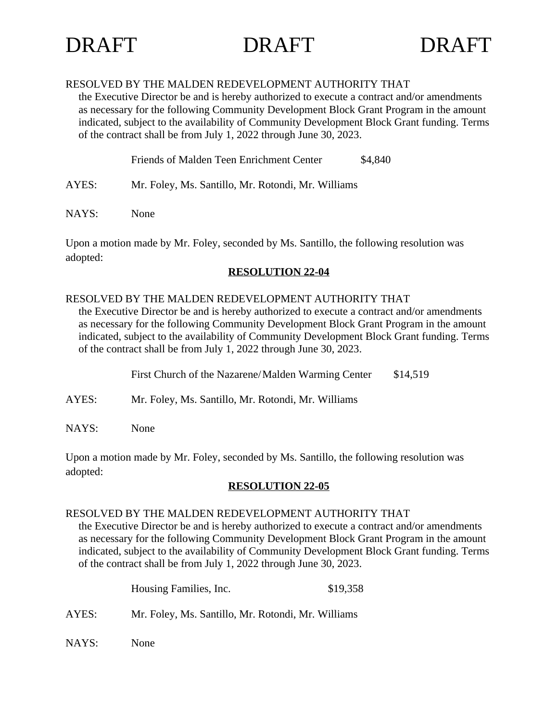### RESOLVED BY THE MALDEN REDEVELOPMENT AUTHORITY THAT

the Executive Director be and is hereby authorized to execute a contract and/or amendments as necessary for the following Community Development Block Grant Program in the amount indicated, subject to the availability of Community Development Block Grant funding. Terms of the contract shall be from July 1, 2022 through June 30, 2023.

Friends of Malden Teen Enrichment Center \$4,840

- AYES: Mr. Foley, Ms. Santillo, Mr. Rotondi, Mr. Williams
- NAYS: None

Upon a motion made by Mr. Foley, seconded by Ms. Santillo, the following resolution was adopted:

### **RESOLUTION 22-04**

### RESOLVED BY THE MALDEN REDEVELOPMENT AUTHORITY THAT

the Executive Director be and is hereby authorized to execute a contract and/or amendments as necessary for the following Community Development Block Grant Program in the amount indicated, subject to the availability of Community Development Block Grant funding. Terms of the contract shall be from July 1, 2022 through June 30, 2023.

First Church of the Nazarene/Malden Warming Center \$14,519

- AYES: Mr. Foley, Ms. Santillo, Mr. Rotondi, Mr. Williams
- NAYS: None

Upon a motion made by Mr. Foley, seconded by Ms. Santillo, the following resolution was adopted:

# **RESOLUTION 22-05**

#### RESOLVED BY THE MALDEN REDEVELOPMENT AUTHORITY THAT

the Executive Director be and is hereby authorized to execute a contract and/or amendments as necessary for the following Community Development Block Grant Program in the amount indicated, subject to the availability of Community Development Block Grant funding. Terms of the contract shall be from July 1, 2022 through June 30, 2023.

|       | Housing Families, Inc.                             | \$19,358 |
|-------|----------------------------------------------------|----------|
| AYES: | Mr. Foley, Ms. Santillo, Mr. Rotondi, Mr. Williams |          |

NAYS: None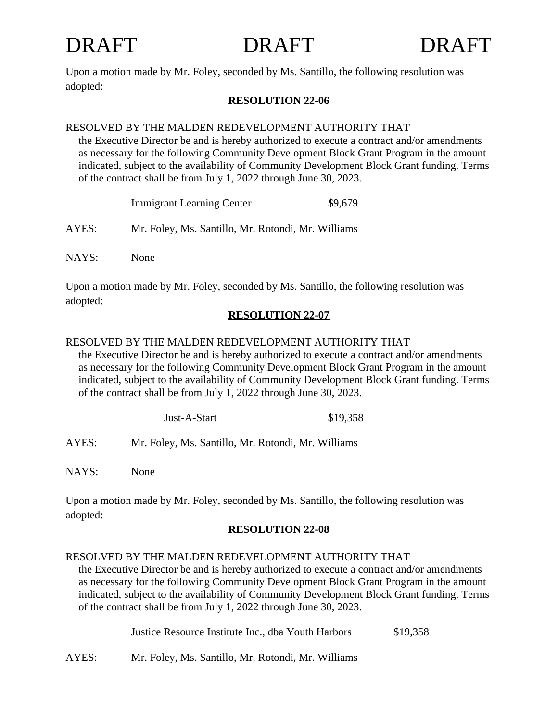

Upon a motion made by Mr. Foley, seconded by Ms. Santillo, the following resolution was adopted:

# **RESOLUTION 22-06**

# RESOLVED BY THE MALDEN REDEVELOPMENT AUTHORITY THAT

the Executive Director be and is hereby authorized to execute a contract and/or amendments as necessary for the following Community Development Block Grant Program in the amount indicated, subject to the availability of Community Development Block Grant funding. Terms of the contract shall be from July 1, 2022 through June 30, 2023.

|       | <b>Immigrant Learning Center</b>                   | \$9,679 |
|-------|----------------------------------------------------|---------|
| AYES: | Mr. Foley, Ms. Santillo, Mr. Rotondi, Mr. Williams |         |

NAYS: None

Upon a motion made by Mr. Foley, seconded by Ms. Santillo, the following resolution was adopted:

# **RESOLUTION 22-07**

# RESOLVED BY THE MALDEN REDEVELOPMENT AUTHORITY THAT

the Executive Director be and is hereby authorized to execute a contract and/or amendments as necessary for the following Community Development Block Grant Program in the amount indicated, subject to the availability of Community Development Block Grant funding. Terms of the contract shall be from July 1, 2022 through June 30, 2023.

AYES: Mr. Foley, Ms. Santillo, Mr. Rotondi, Mr. Williams

NAYS: None

Upon a motion made by Mr. Foley, seconded by Ms. Santillo, the following resolution was adopted:

# **RESOLUTION 22-08**

# RESOLVED BY THE MALDEN REDEVELOPMENT AUTHORITY THAT

the Executive Director be and is hereby authorized to execute a contract and/or amendments as necessary for the following Community Development Block Grant Program in the amount indicated, subject to the availability of Community Development Block Grant funding. Terms of the contract shall be from July 1, 2022 through June 30, 2023.

Justice Resource Institute Inc., dba Youth Harbors \$19,358

AYES: Mr. Foley, Ms. Santillo, Mr. Rotondi, Mr. Williams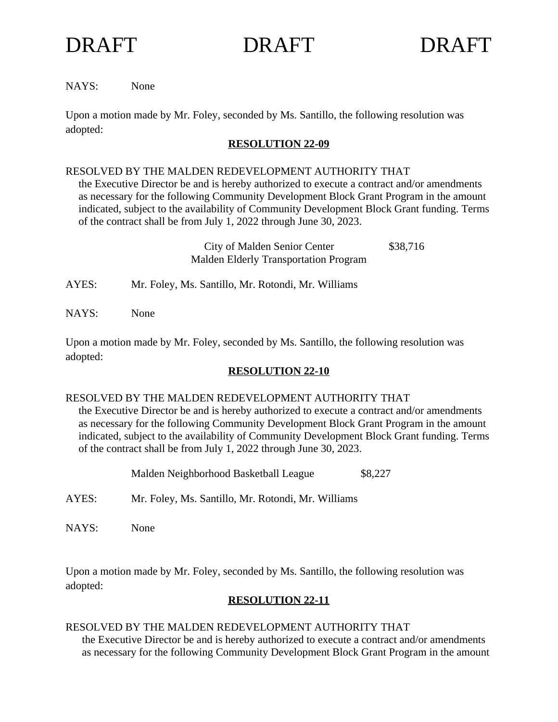

NAYS: None

Upon a motion made by Mr. Foley, seconded by Ms. Santillo, the following resolution was adopted:

### **RESOLUTION 22-09**

#### RESOLVED BY THE MALDEN REDEVELOPMENT AUTHORITY THAT

the Executive Director be and is hereby authorized to execute a contract and/or amendments as necessary for the following Community Development Block Grant Program in the amount indicated, subject to the availability of Community Development Block Grant funding. Terms of the contract shall be from July 1, 2022 through June 30, 2023.

> City of Malden Senior Center \$38,716 Malden Elderly Transportation Program

AYES: Mr. Foley, Ms. Santillo, Mr. Rotondi, Mr. Williams

NAYS: None

Upon a motion made by Mr. Foley, seconded by Ms. Santillo, the following resolution was adopted:

# **RESOLUTION 22-10**

#### RESOLVED BY THE MALDEN REDEVELOPMENT AUTHORITY THAT

the Executive Director be and is hereby authorized to execute a contract and/or amendments as necessary for the following Community Development Block Grant Program in the amount indicated, subject to the availability of Community Development Block Grant funding. Terms of the contract shall be from July 1, 2022 through June 30, 2023.

Malden Neighborhood Basketball League \$8,227

- AYES: Mr. Foley, Ms. Santillo, Mr. Rotondi, Mr. Williams
- NAYS: None

Upon a motion made by Mr. Foley, seconded by Ms. Santillo, the following resolution was adopted:

# **RESOLUTION 22-11**

#### RESOLVED BY THE MALDEN REDEVELOPMENT AUTHORITY THAT

the Executive Director be and is hereby authorized to execute a contract and/or amendments as necessary for the following Community Development Block Grant Program in the amount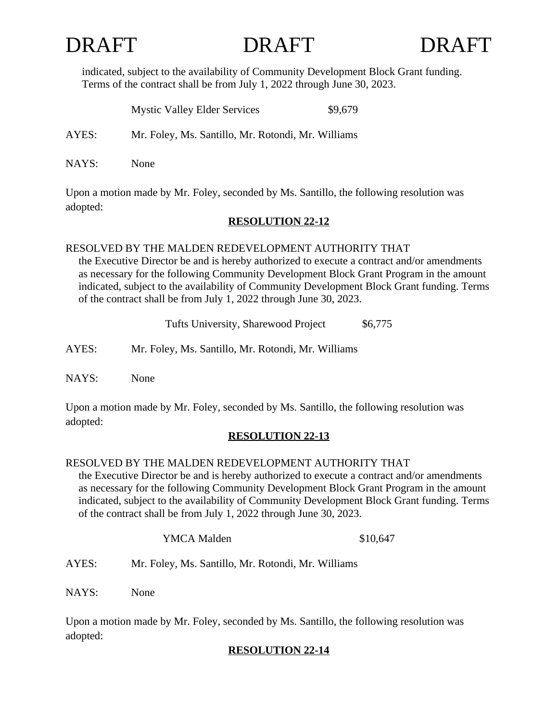indicated, subject to the availability of Community Development Block Grant funding. Terms of the contract shall be from July 1, 2022 through June 30, 2023.

|       | <b>Mystic Valley Elder Services</b>                | \$9,679 |
|-------|----------------------------------------------------|---------|
| AYES: | Mr. Foley, Ms. Santillo, Mr. Rotondi, Mr. Williams |         |
| NAYS: | None                                               |         |

Upon a motion made by Mr. Foley, seconded by Ms. Santillo, the following resolution was adopted:

# **RESOLUTION 22-12**

# RESOLVED BY THE MALDEN REDEVELOPMENT AUTHORITY THAT

the Executive Director be and is hereby authorized to execute a contract and/or amendments as necessary for the following Community Development Block Grant Program in the amount indicated, subject to the availability of Community Development Block Grant funding. Terms of the contract shall be from July 1, 2022 through June 30, 2023.

Tufts University, Sharewood Project \$6,775

AYES: Mr. Foley, Ms. Santillo, Mr. Rotondi, Mr. Williams

NAYS: None

Upon a motion made by Mr. Foley, seconded by Ms. Santillo, the following resolution was adopted:

# **RESOLUTION 22-13**

# RESOLVED BY THE MALDEN REDEVELOPMENT AUTHORITY THAT

the Executive Director be and is hereby authorized to execute a contract and/or amendments as necessary for the following Community Development Block Grant Program in the amount indicated, subject to the availability of Community Development Block Grant funding. Terms of the contract shall be from July 1, 2022 through June 30, 2023.

| YMCA Malden | \$10,647 |
|-------------|----------|
|-------------|----------|

AYES: Mr. Foley, Ms. Santillo, Mr. Rotondi, Mr. Williams

NAYS: None

Upon a motion made by Mr. Foley, seconded by Ms. Santillo, the following resolution was adopted:

# **RESOLUTION 22-14**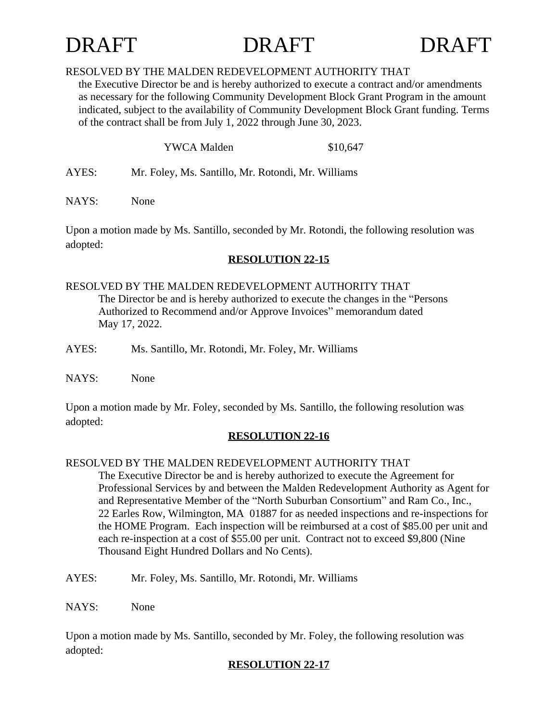

### RESOLVED BY THE MALDEN REDEVELOPMENT AUTHORITY THAT

the Executive Director be and is hereby authorized to execute a contract and/or amendments as necessary for the following Community Development Block Grant Program in the amount indicated, subject to the availability of Community Development Block Grant funding. Terms of the contract shall be from July 1, 2022 through June 30, 2023.

| <b>YWCA Malden</b> |  |  |                                                                                  | \$10,647 |  |  |
|--------------------|--|--|----------------------------------------------------------------------------------|----------|--|--|
|                    |  |  | $\mathbf{r}$ and $\mathbf{r}$ and $\mathbf{r}$ and $\mathbf{r}$ and $\mathbf{r}$ |          |  |  |

AYES: Mr. Foley, Ms. Santillo, Mr. Rotondi, Mr. Williams

NAYS: None

Upon a motion made by Ms. Santillo, seconded by Mr. Rotondi, the following resolution was adopted:

# **RESOLUTION 22-15**

# RESOLVED BY THE MALDEN REDEVELOPMENT AUTHORITY THAT

The Director be and is hereby authorized to execute the changes in the "Persons Authorized to Recommend and/or Approve Invoices" memorandum dated May 17, 2022.

AYES: Ms. Santillo, Mr. Rotondi, Mr. Foley, Mr. Williams

NAYS: None

Upon a motion made by Mr. Foley, seconded by Ms. Santillo, the following resolution was adopted:

# **RESOLUTION 22-16**

# RESOLVED BY THE MALDEN REDEVELOPMENT AUTHORITY THAT

The Executive Director be and is hereby authorized to execute the Agreement for Professional Services by and between the Malden Redevelopment Authority as Agent for and Representative Member of the "North Suburban Consortium" and Ram Co., Inc., 22 Earles Row, Wilmington, MA 01887 for as needed inspections and re-inspections for the HOME Program. Each inspection will be reimbursed at a cost of \$85.00 per unit and each re-inspection at a cost of \$55.00 per unit. Contract not to exceed \$9,800 (Nine Thousand Eight Hundred Dollars and No Cents).

AYES: Mr. Foley, Ms. Santillo, Mr. Rotondi, Mr. Williams

NAYS: None

Upon a motion made by Ms. Santillo, seconded by Mr. Foley, the following resolution was adopted:

# **RESOLUTION 22-17**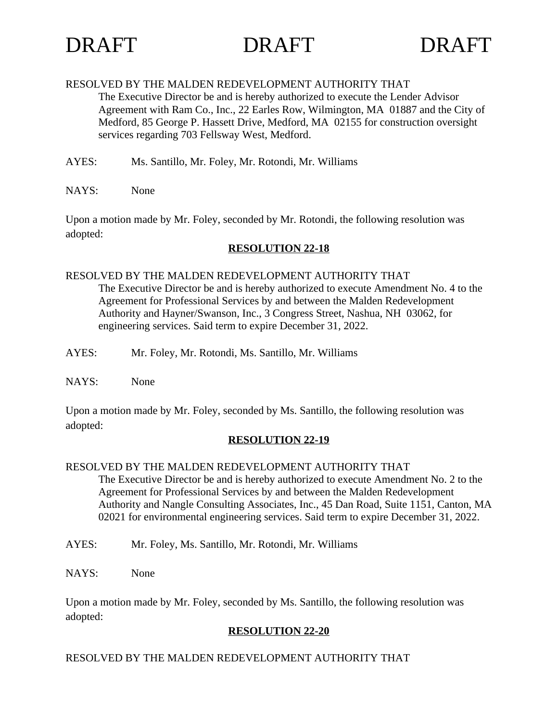

#### RESOLVED BY THE MALDEN REDEVELOPMENT AUTHORITY THAT

The Executive Director be and is hereby authorized to execute the Lender Advisor Agreement with Ram Co., Inc., 22 Earles Row, Wilmington, MA 01887 and the City of Medford, 85 George P. Hassett Drive, Medford, MA 02155 for construction oversight services regarding 703 Fellsway West, Medford.

- AYES: Ms. Santillo, Mr. Foley, Mr. Rotondi, Mr. Williams
- NAYS: None

Upon a motion made by Mr. Foley, seconded by Mr. Rotondi, the following resolution was adopted:

# **RESOLUTION 22-18**

### RESOLVED BY THE MALDEN REDEVELOPMENT AUTHORITY THAT

The Executive Director be and is hereby authorized to execute Amendment No. 4 to the Agreement for Professional Services by and between the Malden Redevelopment Authority and Hayner/Swanson, Inc., 3 Congress Street, Nashua, NH 03062, for engineering services. Said term to expire December 31, 2022.

- AYES: Mr. Foley, Mr. Rotondi, Ms. Santillo, Mr. Williams
- NAYS: None

Upon a motion made by Mr. Foley, seconded by Ms. Santillo, the following resolution was adopted:

#### **RESOLUTION 22-19**

# RESOLVED BY THE MALDEN REDEVELOPMENT AUTHORITY THAT

The Executive Director be and is hereby authorized to execute Amendment No. 2 to the Agreement for Professional Services by and between the Malden Redevelopment Authority and Nangle Consulting Associates, Inc., 45 Dan Road, Suite 1151, Canton, MA 02021 for environmental engineering services. Said term to expire December 31, 2022.

- AYES: Mr. Foley, Ms. Santillo, Mr. Rotondi, Mr. Williams
- NAYS: None

Upon a motion made by Mr. Foley, seconded by Ms. Santillo, the following resolution was adopted:

# **RESOLUTION 22-20**

# RESOLVED BY THE MALDEN REDEVELOPMENT AUTHORITY THAT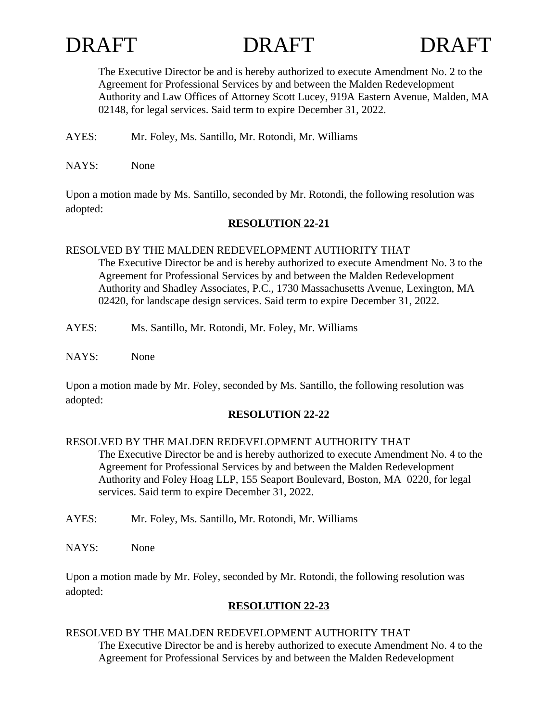



The Executive Director be and is hereby authorized to execute Amendment No. 2 to the Agreement for Professional Services by and between the Malden Redevelopment Authority and Law Offices of Attorney Scott Lucey, 919A Eastern Avenue, Malden, MA 02148, for legal services. Said term to expire December 31, 2022.

AYES: Mr. Foley, Ms. Santillo, Mr. Rotondi, Mr. Williams

NAYS: None

Upon a motion made by Ms. Santillo, seconded by Mr. Rotondi, the following resolution was adopted:

# **RESOLUTION 22-21**

# RESOLVED BY THE MALDEN REDEVELOPMENT AUTHORITY THAT

The Executive Director be and is hereby authorized to execute Amendment No. 3 to the Agreement for Professional Services by and between the Malden Redevelopment Authority and Shadley Associates, P.C., 1730 Massachusetts Avenue, Lexington, MA 02420, for landscape design services. Said term to expire December 31, 2022.

- AYES: Ms. Santillo, Mr. Rotondi, Mr. Foley, Mr. Williams
- NAYS: None

Upon a motion made by Mr. Foley, seconded by Ms. Santillo, the following resolution was adopted:

# **RESOLUTION 22-22**

# RESOLVED BY THE MALDEN REDEVELOPMENT AUTHORITY THAT

The Executive Director be and is hereby authorized to execute Amendment No. 4 to the Agreement for Professional Services by and between the Malden Redevelopment Authority and Foley Hoag LLP, 155 Seaport Boulevard, Boston, MA 0220, for legal services. Said term to expire December 31, 2022.

- AYES: Mr. Foley, Ms. Santillo, Mr. Rotondi, Mr. Williams
- NAYS: None

Upon a motion made by Mr. Foley, seconded by Mr. Rotondi, the following resolution was adopted:

# **RESOLUTION 22-23**

# RESOLVED BY THE MALDEN REDEVELOPMENT AUTHORITY THAT

The Executive Director be and is hereby authorized to execute Amendment No. 4 to the Agreement for Professional Services by and between the Malden Redevelopment